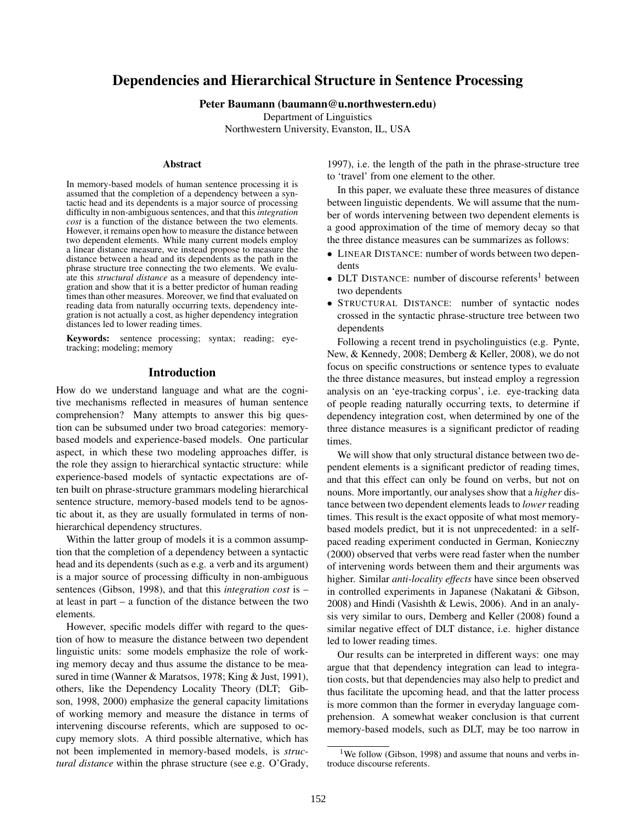# Dependencies and Hierarchical Structure in Sentence Processing

#### Peter Baumann (baumann@u.northwestern.edu)

Department of Linguistics

Northwestern University, Evanston, IL, USA

#### Abstract

In memory-based models of human sentence processing it is assumed that the completion of a dependency between a syntactic head and its dependents is a major source of processing difficulty in non-ambiguous sentences, and that this *integration cost* is a function of the distance between the two elements. However, it remains open how to measure the distance between two dependent elements. While many current models employ a linear distance measure, we instead propose to measure the distance between a head and its dependents as the path in the phrase structure tree connecting the two elements. We evaluate this *structural distance* as a measure of dependency integration and show that it is a better predictor of human reading times than other measures. Moreover, we find that evaluated on reading data from naturally occurring texts, dependency integration is not actually a cost, as higher dependency integration distances led to lower reading times.

Keywords: sentence processing; syntax; reading; eyetracking; modeling; memory

#### Introduction

How do we understand language and what are the cognitive mechanisms reflected in measures of human sentence comprehension? Many attempts to answer this big question can be subsumed under two broad categories: memorybased models and experience-based models. One particular aspect, in which these two modeling approaches differ, is the role they assign to hierarchical syntactic structure: while experience-based models of syntactic expectations are often built on phrase-structure grammars modeling hierarchical sentence structure, memory-based models tend to be agnostic about it, as they are usually formulated in terms of nonhierarchical dependency structures.

Within the latter group of models it is a common assumption that the completion of a dependency between a syntactic head and its dependents (such as e.g. a verb and its argument) is a major source of processing difficulty in non-ambiguous sentences (Gibson, 1998), and that this *integration cost* is – at least in part – a function of the distance between the two elements.

However, specific models differ with regard to the question of how to measure the distance between two dependent linguistic units: some models emphasize the role of working memory decay and thus assume the distance to be measured in time (Wanner & Maratsos, 1978; King & Just, 1991), others, like the Dependency Locality Theory (DLT; Gibson, 1998, 2000) emphasize the general capacity limitations of working memory and measure the distance in terms of intervening discourse referents, which are supposed to occupy memory slots. A third possible alternative, which has not been implemented in memory-based models, is *structural distance* within the phrase structure (see e.g. O'Grady,

1997), i.e. the length of the path in the phrase-structure tree to 'travel' from one element to the other.

In this paper, we evaluate these three measures of distance between linguistic dependents. We will assume that the number of words intervening between two dependent elements is a good approximation of the time of memory decay so that the three distance measures can be summarizes as follows:

- LINEAR DISTANCE: number of words between two dependents
- DLT DISTANCE: number of discourse referents<sup>1</sup> between two dependents
- STRUCTURAL DISTANCE: number of syntactic nodes crossed in the syntactic phrase-structure tree between two dependents

Following a recent trend in psycholinguistics (e.g. Pynte, New, & Kennedy, 2008; Demberg & Keller, 2008), we do not focus on specific constructions or sentence types to evaluate the three distance measures, but instead employ a regression analysis on an 'eye-tracking corpus', i.e. eye-tracking data of people reading naturally occurring texts, to determine if dependency integration cost, when determined by one of the three distance measures is a significant predictor of reading times.

We will show that only structural distance between two dependent elements is a significant predictor of reading times, and that this effect can only be found on verbs, but not on nouns. More importantly, our analyses show that a *higher* distance between two dependent elements leads to *lower* reading times. This result is the exact opposite of what most memorybased models predict, but it is not unprecedented: in a selfpaced reading experiment conducted in German, Konieczny (2000) observed that verbs were read faster when the number of intervening words between them and their arguments was higher. Similar *anti-locality effects* have since been observed in controlled experiments in Japanese (Nakatani & Gibson, 2008) and Hindi (Vasishth & Lewis, 2006). And in an analysis very similar to ours, Demberg and Keller (2008) found a similar negative effect of DLT distance, i.e. higher distance led to lower reading times.

Our results can be interpreted in different ways: one may argue that that dependency integration can lead to integration costs, but that dependencies may also help to predict and thus facilitate the upcoming head, and that the latter process is more common than the former in everyday language comprehension. A somewhat weaker conclusion is that current memory-based models, such as DLT, may be too narrow in

<sup>&</sup>lt;sup>1</sup>We follow (Gibson, 1998) and assume that nouns and verbs introduce discourse referents.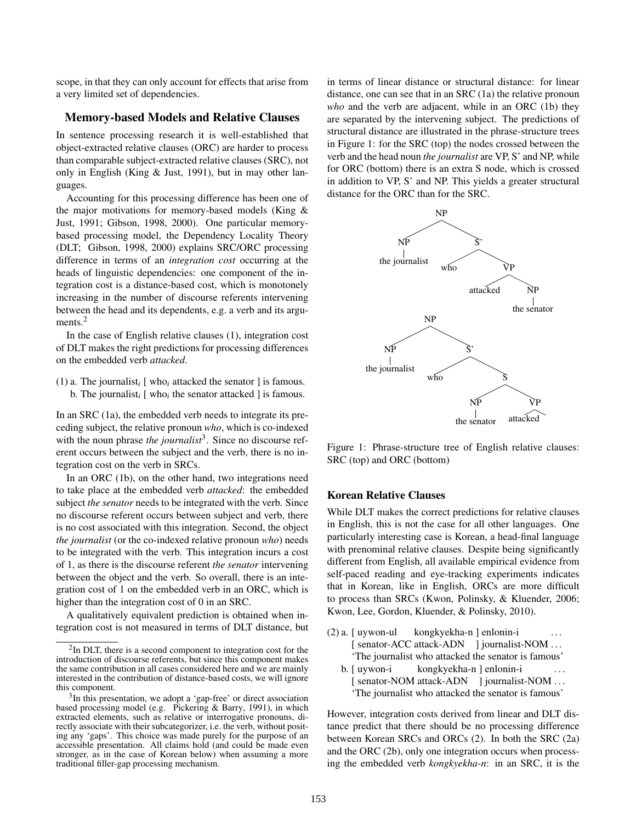scope, in that they can only account for effects that arise from a very limited set of dependencies.

### Memory-based Models and Relative Clauses

In sentence processing research it is well-established that object-extracted relative clauses (ORC) are harder to process than comparable subject-extracted relative clauses (SRC), not only in English (King & Just, 1991), but in may other languages.

Accounting for this processing difference has been one of the major motivations for memory-based models (King & Just, 1991; Gibson, 1998, 2000). One particular memorybased processing model, the Dependency Locality Theory (DLT; Gibson, 1998, 2000) explains SRC/ORC processing difference in terms of an *integration cost* occurring at the heads of linguistic dependencies: one component of the integration cost is a distance-based cost, which is monotonely increasing in the number of discourse referents intervening between the head and its dependents, e.g. a verb and its arguments.<sup>2</sup>

In the case of English relative clauses (1), integration cost of DLT makes the right predictions for processing differences on the embedded verb *attacked*.

(1) a. The journalist<sub>i</sub> [ who<sub>i</sub> attacked the senator ] is famous. b. The journalist<sub>i</sub>  $[$  who<sub>i</sub> the senator attacked  $]$  is famous.

In an SRC (1a), the embedded verb needs to integrate its preceding subject, the relative pronoun *who*, which is co-indexed with the noun phrase *the journalist*<sup>3</sup>. Since no discourse referent occurs between the subject and the verb, there is no integration cost on the verb in SRCs.

In an ORC (1b), on the other hand, two integrations need to take place at the embedded verb *attacked*: the embedded subject *the senator* needs to be integrated with the verb. Since no discourse referent occurs between subject and verb, there is no cost associated with this integration. Second, the object *the journalist* (or the co-indexed relative pronoun *who*) needs to be integrated with the verb. This integration incurs a cost of 1, as there is the discourse referent *the senator* intervening between the object and the verb. So overall, there is an integration cost of 1 on the embedded verb in an ORC, which is higher than the integration cost of 0 in an SRC.

A qualitatively equivalent prediction is obtained when integration cost is not measured in terms of DLT distance, but in terms of linear distance or structural distance: for linear distance, one can see that in an SRC (1a) the relative pronoun *who* and the verb are adjacent, while in an ORC (1b) they are separated by the intervening subject. The predictions of structural distance are illustrated in the phrase-structure trees in Figure 1: for the SRC (top) the nodes crossed between the verb and the head noun *the journalist* are VP, S' and NP, while for ORC (bottom) there is an extra S node, which is crossed in addition to VP, S' and NP. This yields a greater structural distance for the ORC than for the SRC.



Figure 1: Phrase-structure tree of English relative clauses: SRC (top) and ORC (bottom)

#### Korean Relative Clauses

While DLT makes the correct predictions for relative clauses in English, this is not the case for all other languages. One particularly interesting case is Korean, a head-final language with prenominal relative clauses. Despite being significantly different from English, all available empirical evidence from self-paced reading and eye-tracking experiments indicates that in Korean, like in English, ORCs are more difficult to process than SRCs (Kwon, Polinsky, & Kluender, 2006; Kwon, Lee, Gordon, Kluender, & Polinsky, 2010).

- (2) a. [ uywon-ul [ senator-ACC attack-ADN ] journalist-NOM ... kongkyekha-n ] enlonin-i . . . 'The journalist who attacked the senator is famous'
	- b. [ uywon-i [ senator-NOM attack-ADN ] journalist-NOM ... kongkyekha-n ] enlonin-i . . . 'The journalist who attacked the senator is famous'

However, integration costs derived from linear and DLT distance predict that there should be no processing difference between Korean SRCs and ORCs (2). In both the SRC (2a) and the ORC (2b), only one integration occurs when processing the embedded verb *kongkyekha-n*: in an SRC, it is the

<sup>&</sup>lt;sup>2</sup>In DLT, there is a second component to integration cost for the introduction of discourse referents, but since this component makes the same contribution in all cases considered here and we are mainly interested in the contribution of distance-based costs, we will ignore this component.

<sup>&</sup>lt;sup>3</sup>In this presentation, we adopt a 'gap-free' or direct association based processing model (e.g. Pickering & Barry, 1991), in which extracted elements, such as relative or interrogative pronouns, directly associate with their subcategorizer, i.e. the verb, without positing any 'gaps'. This choice was made purely for the purpose of an accessible presentation. All claims hold (and could be made even stronger, as in the case of Korean below) when assuming a more traditional filler-gap processing mechanism.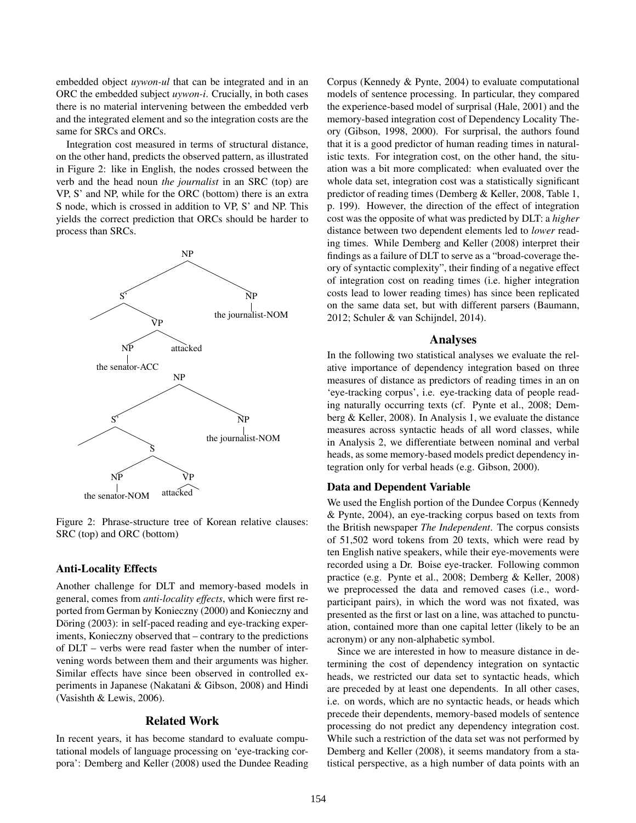embedded object *uywon-ul* that can be integrated and in an ORC the embedded subject *uywon-i*. Crucially, in both cases there is no material intervening between the embedded verb and the integrated element and so the integration costs are the same for SRCs and ORCs.

Integration cost measured in terms of structural distance, on the other hand, predicts the observed pattern, as illustrated in Figure 2: like in English, the nodes crossed between the verb and the head noun *the journalist* in an SRC (top) are VP, S' and NP, while for the ORC (bottom) there is an extra S node, which is crossed in addition to VP, S' and NP. This yields the correct prediction that ORCs should be harder to process than SRCs.



Figure 2: Phrase-structure tree of Korean relative clauses: SRC (top) and ORC (bottom)

## Anti-Locality Effects

Another challenge for DLT and memory-based models in general, comes from *anti-locality effects*, which were first reported from German by Konieczny (2000) and Konieczny and Döring (2003): in self-paced reading and eye-tracking experiments, Konieczny observed that – contrary to the predictions of DLT – verbs were read faster when the number of intervening words between them and their arguments was higher. Similar effects have since been observed in controlled experiments in Japanese (Nakatani & Gibson, 2008) and Hindi (Vasishth & Lewis, 2006).

## Related Work

In recent years, it has become standard to evaluate computational models of language processing on 'eye-tracking corpora': Demberg and Keller (2008) used the Dundee Reading Corpus (Kennedy & Pynte, 2004) to evaluate computational models of sentence processing. In particular, they compared the experience-based model of surprisal (Hale, 2001) and the memory-based integration cost of Dependency Locality Theory (Gibson, 1998, 2000). For surprisal, the authors found that it is a good predictor of human reading times in naturalistic texts. For integration cost, on the other hand, the situation was a bit more complicated: when evaluated over the whole data set, integration cost was a statistically significant predictor of reading times (Demberg & Keller, 2008, Table 1, p. 199). However, the direction of the effect of integration cost was the opposite of what was predicted by DLT: a *higher* distance between two dependent elements led to *lower* reading times. While Demberg and Keller (2008) interpret their findings as a failure of DLT to serve as a "broad-coverage theory of syntactic complexity", their finding of a negative effect of integration cost on reading times (i.e. higher integration costs lead to lower reading times) has since been replicated on the same data set, but with different parsers (Baumann, 2012; Schuler & van Schijndel, 2014).

#### Analyses

In the following two statistical analyses we evaluate the relative importance of dependency integration based on three measures of distance as predictors of reading times in an on 'eye-tracking corpus', i.e. eye-tracking data of people reading naturally occurring texts (cf. Pynte et al., 2008; Demberg & Keller, 2008). In Analysis 1, we evaluate the distance measures across syntactic heads of all word classes, while in Analysis 2, we differentiate between nominal and verbal heads, as some memory-based models predict dependency integration only for verbal heads (e.g. Gibson, 2000).

## Data and Dependent Variable

We used the English portion of the Dundee Corpus (Kennedy & Pynte, 2004), an eye-tracking corpus based on texts from the British newspaper *The Independent*. The corpus consists of 51,502 word tokens from 20 texts, which were read by ten English native speakers, while their eye-movements were recorded using a Dr. Boise eye-tracker. Following common practice (e.g. Pynte et al., 2008; Demberg & Keller, 2008) we preprocessed the data and removed cases (i.e., wordparticipant pairs), in which the word was not fixated, was presented as the first or last on a line, was attached to punctuation, contained more than one capital letter (likely to be an acronym) or any non-alphabetic symbol.

Since we are interested in how to measure distance in determining the cost of dependency integration on syntactic heads, we restricted our data set to syntactic heads, which are preceded by at least one dependents. In all other cases, i.e. on words, which are no syntactic heads, or heads which precede their dependents, memory-based models of sentence processing do not predict any dependency integration cost. While such a restriction of the data set was not performed by Demberg and Keller (2008), it seems mandatory from a statistical perspective, as a high number of data points with an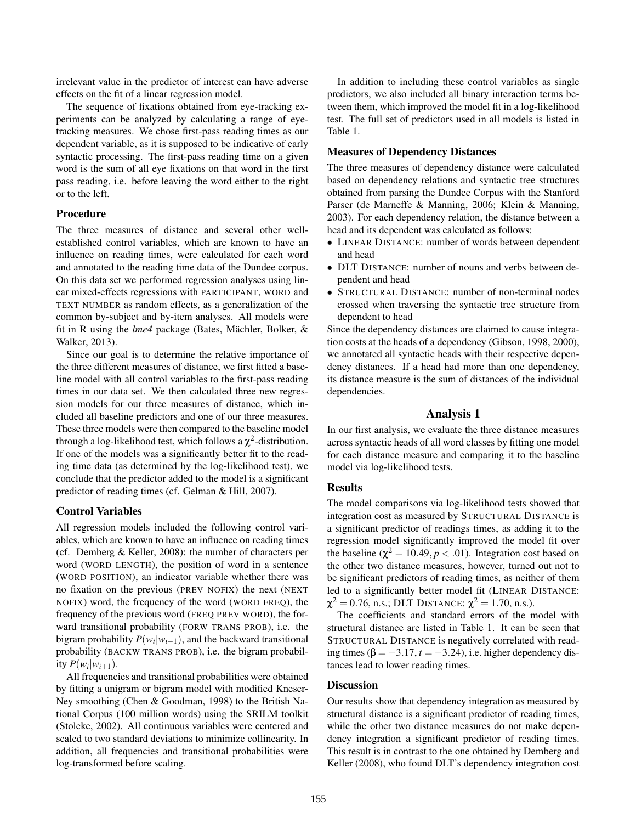irrelevant value in the predictor of interest can have adverse effects on the fit of a linear regression model.

The sequence of fixations obtained from eye-tracking experiments can be analyzed by calculating a range of eyetracking measures. We chose first-pass reading times as our dependent variable, as it is supposed to be indicative of early syntactic processing. The first-pass reading time on a given word is the sum of all eye fixations on that word in the first pass reading, i.e. before leaving the word either to the right or to the left.

#### Procedure

The three measures of distance and several other wellestablished control variables, which are known to have an influence on reading times, were calculated for each word and annotated to the reading time data of the Dundee corpus. On this data set we performed regression analyses using linear mixed-effects regressions with PARTICIPANT, WORD and TEXT NUMBER as random effects, as a generalization of the common by-subject and by-item analyses. All models were fit in R using the  $lme4$  package (Bates, Mächler, Bolker,  $\&$ Walker, 2013).

Since our goal is to determine the relative importance of the three different measures of distance, we first fitted a baseline model with all control variables to the first-pass reading times in our data set. We then calculated three new regression models for our three measures of distance, which included all baseline predictors and one of our three measures. These three models were then compared to the baseline model through a log-likelihood test, which follows a  $\chi^2$ -distribution. If one of the models was a significantly better fit to the reading time data (as determined by the log-likelihood test), we conclude that the predictor added to the model is a significant predictor of reading times (cf. Gelman & Hill, 2007).

#### Control Variables

All regression models included the following control variables, which are known to have an influence on reading times (cf. Demberg & Keller, 2008): the number of characters per word (WORD LENGTH), the position of word in a sentence (WORD POSITION), an indicator variable whether there was no fixation on the previous (PREV NOFIX) the next (NEXT NOFIX) word, the frequency of the word (WORD FREQ), the frequency of the previous word (FREQ PREV WORD), the forward transitional probability (FORW TRANS PROB), i.e. the bigram probability  $P(w_i|w_{i-1})$ , and the backward transitional probability (BACKW TRANS PROB), i.e. the bigram probability  $P(w_i|w_{i+1})$ .

All frequencies and transitional probabilities were obtained by fitting a unigram or bigram model with modified Kneser-Ney smoothing (Chen & Goodman, 1998) to the British National Corpus (100 million words) using the SRILM toolkit (Stolcke, 2002). All continuous variables were centered and scaled to two standard deviations to minimize collinearity. In addition, all frequencies and transitional probabilities were log-transformed before scaling.

In addition to including these control variables as single predictors, we also included all binary interaction terms between them, which improved the model fit in a log-likelihood test. The full set of predictors used in all models is listed in Table 1.

#### Measures of Dependency Distances

The three measures of dependency distance were calculated based on dependency relations and syntactic tree structures obtained from parsing the Dundee Corpus with the Stanford Parser (de Marneffe & Manning, 2006; Klein & Manning, 2003). For each dependency relation, the distance between a head and its dependent was calculated as follows:

- LINEAR DISTANCE: number of words between dependent and head
- DLT DISTANCE: number of nouns and verbs between dependent and head
- STRUCTURAL DISTANCE: number of non-terminal nodes crossed when traversing the syntactic tree structure from dependent to head

Since the dependency distances are claimed to cause integration costs at the heads of a dependency (Gibson, 1998, 2000), we annotated all syntactic heads with their respective dependency distances. If a head had more than one dependency, its distance measure is the sum of distances of the individual dependencies.

### Analysis 1

In our first analysis, we evaluate the three distance measures across syntactic heads of all word classes by fitting one model for each distance measure and comparing it to the baseline model via log-likelihood tests.

#### Results

The model comparisons via log-likelihood tests showed that integration cost as measured by STRUCTURAL DISTANCE is a significant predictor of readings times, as adding it to the regression model significantly improved the model fit over the baseline ( $\chi^2 = 10.49, p < .01$ ). Integration cost based on the other two distance measures, however, turned out not to be significant predictors of reading times, as neither of them led to a significantly better model fit (LINEAR DISTANCE:  $\chi^2 = 0.76$ , n.s.; DLT Distance:  $\chi^2 = 1.70$ , n.s.).

The coefficients and standard errors of the model with structural distance are listed in Table 1. It can be seen that STRUCTURAL DISTANCE is negatively correlated with reading times ( $\beta = -3.17$ ,  $t = -3.24$ ), i.e. higher dependency distances lead to lower reading times.

## **Discussion**

Our results show that dependency integration as measured by structural distance is a significant predictor of reading times, while the other two distance measures do not make dependency integration a significant predictor of reading times. This result is in contrast to the one obtained by Demberg and Keller (2008), who found DLT's dependency integration cost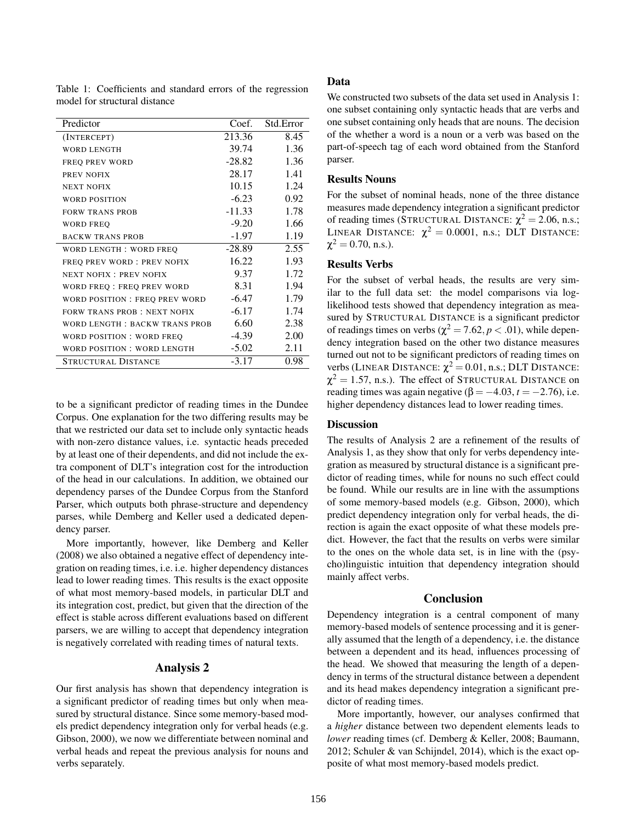| Predictor                            | Coef.    | Std.Error |
|--------------------------------------|----------|-----------|
| (INTERCEPT)                          | 213.36   | 8.45      |
| <b>WORD LENGTH</b>                   | 39.74    | 1.36      |
| <b>FREQ PREV WORD</b>                | $-28.82$ | 1.36      |
| PREV NOFIX                           | 28.17    | 1.41      |
| <b>NEXT NOFIX</b>                    | 10.15    | 1.24      |
| WORD POSITION                        | $-6.23$  | 0.92      |
| <b>FORW TRANS PROB</b>               | $-11.33$ | 1.78      |
| <b>WORD FREQ</b>                     | $-9.20$  | 1.66      |
| <b>BACKW TRANS PROB</b>              | -1.97    | 1.19      |
| WORD LENGTH: WORD FREQ               | $-28.89$ | 2.55      |
| FREQ PREV WORD: PREV NOFIX           | 16.22    | 1.93      |
| <b>NEXT NOFIX: PREV NOFIX</b>        | 9.37     | 1.72      |
| WORD FREQ : FREQ PREV WORD           | 8.31     | 1.94      |
| WORD POSITION: FREQ PREV WORD        | $-6.47$  | 1.79      |
| <b>FORW TRANS PROB: NEXT NOFIX</b>   | $-6.17$  | 1.74      |
| <b>WORD LENGTH: BACKW TRANS PROB</b> | 6.60     | 2.38      |
| WORD POSITION: WORD FREO             | -4.39    | 2.00      |
| WORD POSITION: WORD LENGTH           | $-5.02$  | 2.11      |
| <b>STRUCTURAL DISTANCE</b>           | $-3.17$  | 0.98      |

Table 1: Coefficients and standard errors of the regression model for structural distance

to be a significant predictor of reading times in the Dundee Corpus. One explanation for the two differing results may be that we restricted our data set to include only syntactic heads with non-zero distance values, i.e. syntactic heads preceded by at least one of their dependents, and did not include the extra component of DLT's integration cost for the introduction of the head in our calculations. In addition, we obtained our dependency parses of the Dundee Corpus from the Stanford Parser, which outputs both phrase-structure and dependency parses, while Demberg and Keller used a dedicated dependency parser.

More importantly, however, like Demberg and Keller (2008) we also obtained a negative effect of dependency integration on reading times, i.e. i.e. higher dependency distances lead to lower reading times. This results is the exact opposite of what most memory-based models, in particular DLT and its integration cost, predict, but given that the direction of the effect is stable across different evaluations based on different parsers, we are willing to accept that dependency integration is negatively correlated with reading times of natural texts.

# Analysis 2

Our first analysis has shown that dependency integration is a significant predictor of reading times but only when measured by structural distance. Since some memory-based models predict dependency integration only for verbal heads (e.g. Gibson, 2000), we now we differentiate between nominal and verbal heads and repeat the previous analysis for nouns and verbs separately.

# Data

We constructed two subsets of the data set used in Analysis 1: one subset containing only syntactic heads that are verbs and one subset containing only heads that are nouns. The decision of the whether a word is a noun or a verb was based on the part-of-speech tag of each word obtained from the Stanford parser.

# Results Nouns

For the subset of nominal heads, none of the three distance measures made dependency integration a significant predictor of reading times (STRUCTURAL DISTANCE:  $\chi^2 = 2.06$ , n.s.; LINEAR DISTANCE:  $\chi^2 = 0.0001$ , n.s.; DLT DISTANCE:  $\chi^2 = 0.70$ , n.s.).

# Results Verbs

For the subset of verbal heads, the results are very similar to the full data set: the model comparisons via loglikelihood tests showed that dependency integration as measured by STRUCTURAL DISTANCE is a significant predictor of readings times on verbs ( $\chi^2 = 7.62, p < .01$ ), while dependency integration based on the other two distance measures turned out not to be significant predictors of reading times on verbs (LINEAR DISTANCE:  $\chi^2 = 0.01$ , n.s.; DLT DISTANCE:  $\chi^2=1.57$ , n.s.). The effect of STRUCTURAL DISTANCE on reading times was again negative  $(\beta = -4.03, t = -2.76)$ , i.e. higher dependency distances lead to lower reading times.

# **Discussion**

The results of Analysis 2 are a refinement of the results of Analysis 1, as they show that only for verbs dependency integration as measured by structural distance is a significant predictor of reading times, while for nouns no such effect could be found. While our results are in line with the assumptions of some memory-based models (e.g. Gibson, 2000), which predict dependency integration only for verbal heads, the direction is again the exact opposite of what these models predict. However, the fact that the results on verbs were similar to the ones on the whole data set, is in line with the (psycho)linguistic intuition that dependency integration should mainly affect verbs.

## Conclusion

Dependency integration is a central component of many memory-based models of sentence processing and it is generally assumed that the length of a dependency, i.e. the distance between a dependent and its head, influences processing of the head. We showed that measuring the length of a dependency in terms of the structural distance between a dependent and its head makes dependency integration a significant predictor of reading times.

More importantly, however, our analyses confirmed that a *higher* distance between two dependent elements leads to *lower* reading times (cf. Demberg & Keller, 2008; Baumann, 2012; Schuler & van Schijndel, 2014), which is the exact opposite of what most memory-based models predict.